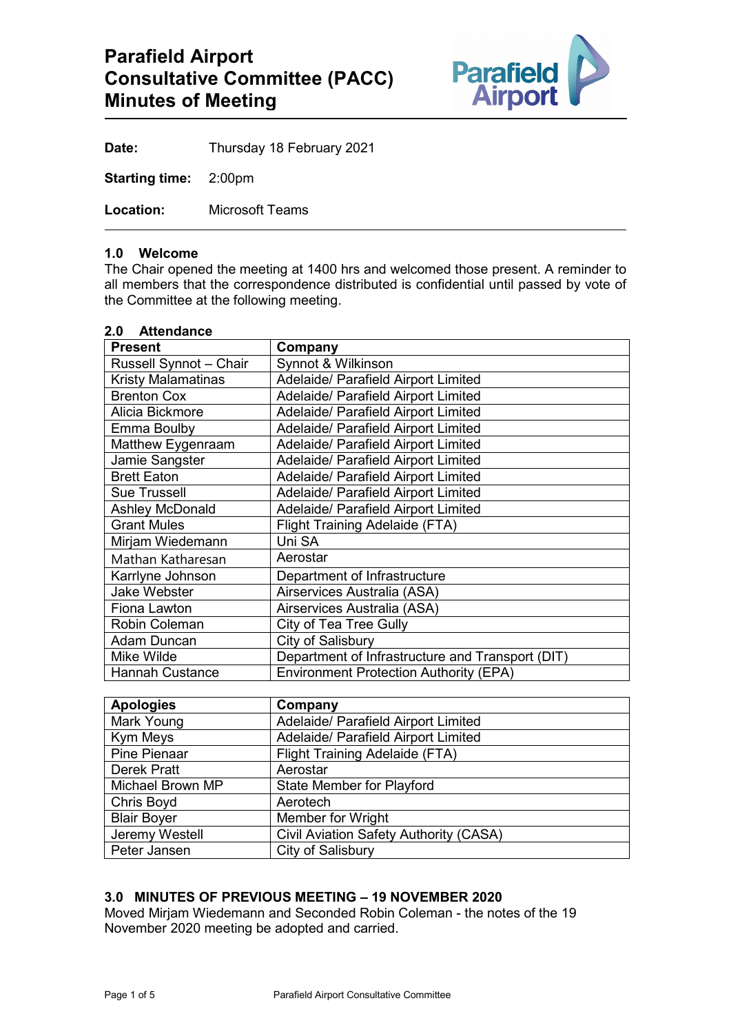

**Date:** Thursday 18 February 2021

**Starting time:** 2:00pm

**Location:** Microsoft Teams

#### **1.0 Welcome**

The Chair opened the meeting at 1400 hrs and welcomed those present. A reminder to all members that the correspondence distributed is confidential until passed by vote of the Committee at the following meeting.

#### **2.0 Attendance**

| <b>Present</b>            | Company                                          |
|---------------------------|--------------------------------------------------|
| Russell Synnot - Chair    | Synnot & Wilkinson                               |
| <b>Kristy Malamatinas</b> | <b>Adelaide/ Parafield Airport Limited</b>       |
| <b>Brenton Cox</b>        | <b>Adelaide/ Parafield Airport Limited</b>       |
| Alicia Bickmore           | Adelaide/ Parafield Airport Limited              |
| Emma Boulby               | Adelaide/ Parafield Airport Limited              |
| Matthew Eygenraam         | <b>Adelaide/ Parafield Airport Limited</b>       |
| Jamie Sangster            | Adelaide/ Parafield Airport Limited              |
| <b>Brett Eaton</b>        | Adelaide/ Parafield Airport Limited              |
| <b>Sue Trussell</b>       | Adelaide/ Parafield Airport Limited              |
| <b>Ashley McDonald</b>    | <b>Adelaide/ Parafield Airport Limited</b>       |
| <b>Grant Mules</b>        | <b>Flight Training Adelaide (FTA)</b>            |
| Mirjam Wiedemann          | Uni SA                                           |
| Mathan Katharesan         | Aerostar                                         |
| Karrlyne Johnson          | Department of Infrastructure                     |
| <b>Jake Webster</b>       | Airservices Australia (ASA)                      |
| Fiona Lawton              | Airservices Australia (ASA)                      |
| <b>Robin Coleman</b>      | City of Tea Tree Gully                           |
| Adam Duncan               | City of Salisbury                                |
| Mike Wilde                | Department of Infrastructure and Transport (DIT) |
| <b>Hannah Custance</b>    | <b>Environment Protection Authority (EPA)</b>    |

| <b>Apologies</b>   | Company                                       |
|--------------------|-----------------------------------------------|
| Mark Young         | Adelaide/ Parafield Airport Limited           |
| Kym Meys           | Adelaide/ Parafield Airport Limited           |
| Pine Pienaar       | Flight Training Adelaide (FTA)                |
| Derek Pratt        | Aerostar                                      |
| Michael Brown MP   | <b>State Member for Playford</b>              |
| Chris Boyd         | Aerotech                                      |
| <b>Blair Boyer</b> | <b>Member for Wright</b>                      |
| Jeremy Westell     | <b>Civil Aviation Safety Authority (CASA)</b> |
| Peter Jansen       | City of Salisbury                             |

#### **3.0 MINUTES OF PREVIOUS MEETING – 19 NOVEMBER 2020**

Moved Mirjam Wiedemann and Seconded Robin Coleman - the notes of the 19 November 2020 meeting be adopted and carried.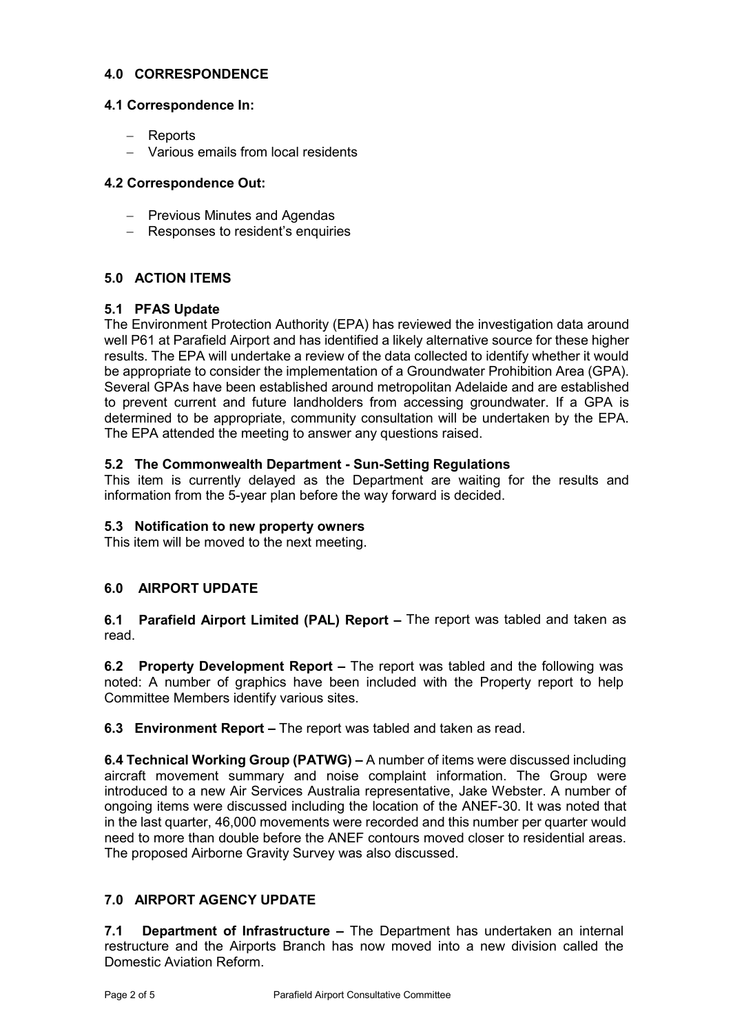### **4.0 CORRESPONDENCE**

#### **4.1 Correspondence In:**

- − Reports
- − Various emails from local residents

### **4.2 Correspondence Out:**

- − Previous Minutes and Agendas
- − Responses to resident's enquiries

## **5.0 ACTION ITEMS**

## **5.1 PFAS Update**

The Environment Protection Authority (EPA) has reviewed the investigation data around well P61 at Parafield Airport and has identified a likely alternative source for these higher results. The EPA will undertake a review of the data collected to identify whether it would be appropriate to consider the implementation of a Groundwater Prohibition Area (GPA). Several GPAs have been established around metropolitan Adelaide and are established to prevent current and future landholders from accessing groundwater. If a GPA is determined to be appropriate, community consultation will be undertaken by the EPA. The EPA attended the meeting to answer any questions raised.

### **5.2 The Commonwealth Department - Sun-Setting Regulations**

This item is currently delayed as the Department are waiting for the results and information from the 5-year plan before the way forward is decided.

#### **5.3 Notification to new property owners**

This item will be moved to the next meeting.

## **6.0 AIRPORT UPDATE**

**6.1 Parafield Airport Limited (PAL) Report –** The report was tabled and taken as read.

**6.2 Property Development Report –** The report was tabled and the following was noted: A number of graphics have been included with the Property report to help Committee Members identify various sites.

**6.3 Environment Report –** The report was tabled and taken as read.

**6.4 Technical Working Group (PATWG) –** A number of items were discussed including aircraft movement summary and noise complaint information. The Group were introduced to a new Air Services Australia representative, Jake Webster. A number of ongoing items were discussed including the location of the ANEF-30. It was noted that in the last quarter, 46,000 movements were recorded and this number per quarter would need to more than double before the ANEF contours moved closer to residential areas. The proposed Airborne Gravity Survey was also discussed.

## **7.0 AIRPORT AGENCY UPDATE**

**7.1 Department of Infrastructure –** The Department has undertaken an internal restructure and the Airports Branch has now moved into a new division called the Domestic Aviation Reform.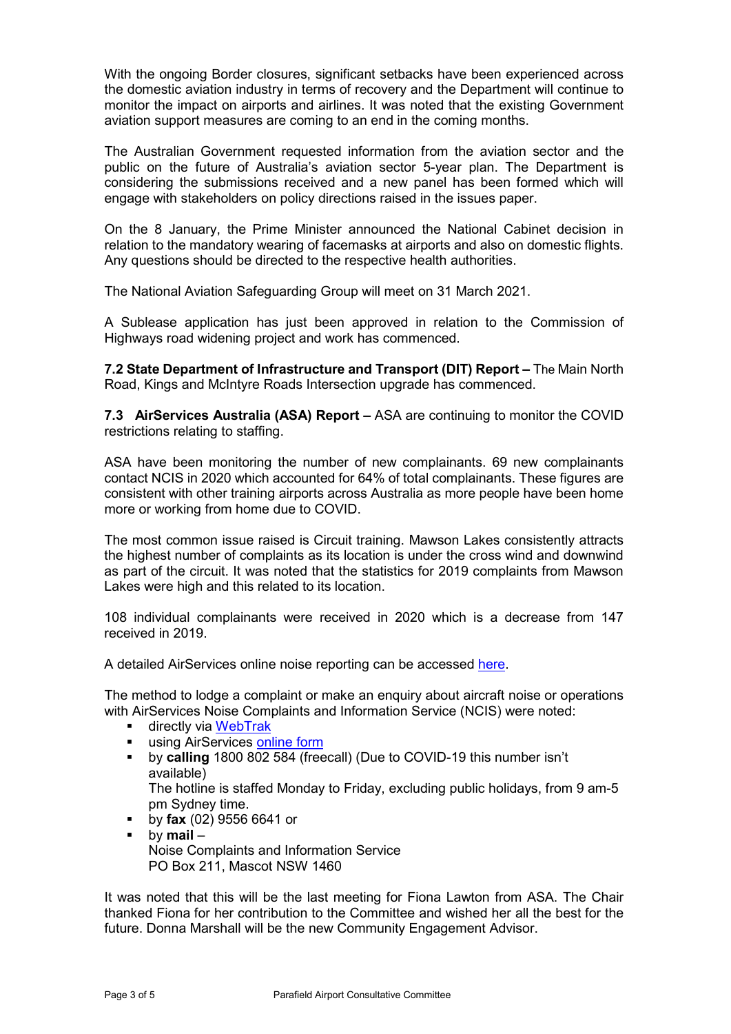With the ongoing Border closures, significant setbacks have been experienced across the domestic aviation industry in terms of recovery and the Department will continue to monitor the impact on airports and airlines. It was noted that the existing Government aviation support measures are coming to an end in the coming months.

The Australian Government requested information from the aviation sector and the public on the future of Australia's aviation sector 5-year plan. The Department is considering the submissions received and a new panel has been formed which will engage with stakeholders on policy directions raised in the issues paper.

On the 8 January, the Prime Minister announced the National Cabinet decision in relation to the mandatory wearing of facemasks at airports and also on domestic flights. Any questions should be directed to the respective health authorities.

The National Aviation Safeguarding Group will meet on 31 March 2021.

A Sublease application has just been approved in relation to the Commission of Highways road widening project and work has commenced.

**7.2 State Department of Infrastructure and Transport (DIT) Report –** The Main North Road, Kings and McIntyre Roads Intersection upgrade has commenced.

**7.3 AirServices Australia (ASA) Report –** ASA are continuing to monitor the COVID restrictions relating to staffing.

ASA have been monitoring the number of new complainants. 69 new complainants contact NCIS in 2020 which accounted for 64% of total complainants. These figures are consistent with other training airports across Australia as more people have been home more or working from home due to COVID.

The most common issue raised is Circuit training. Mawson Lakes consistently attracts the highest number of complaints as its location is under the cross wind and downwind as part of the circuit. It was noted that the statistics for 2019 complaints from Mawson Lakes were high and this related to its location.

108 individual complainants were received in 2020 which is a decrease from 147 received in 2019.

A detailed AirServices online noise reporting can be accessed [here.](http://www.airservicesaustralia.com/aircraftnoise/airports/)

The method to lodge a complaint or make an enquiry about aircraft noise or operations with AirServices Noise Complaints and Information Service (NCIS) were noted:

- **E** directly via [WebTrak](http://www.airservicesaustralia.com/aircraftnoise/webtrak/)
- **using AirServices [online form](http://www.airservicesaustralia.com/aircraftnoise/about-making-a-complaint/how-to-make-a-complaint/)**
- by **calling** 1800 802 584 (freecall) (Due to COVID-19 this number isn't available) The hotline is staffed Monday to Friday, excluding public holidays, from 9 am-5
- pm Sydney time.
- by **fax** (02) 9556 6641 or
- by **mail** Noise Complaints and Information Service PO Box 211, Mascot NSW 1460

It was noted that this will be the last meeting for Fiona Lawton from ASA. The Chair thanked Fiona for her contribution to the Committee and wished her all the best for the future. Donna Marshall will be the new Community Engagement Advisor.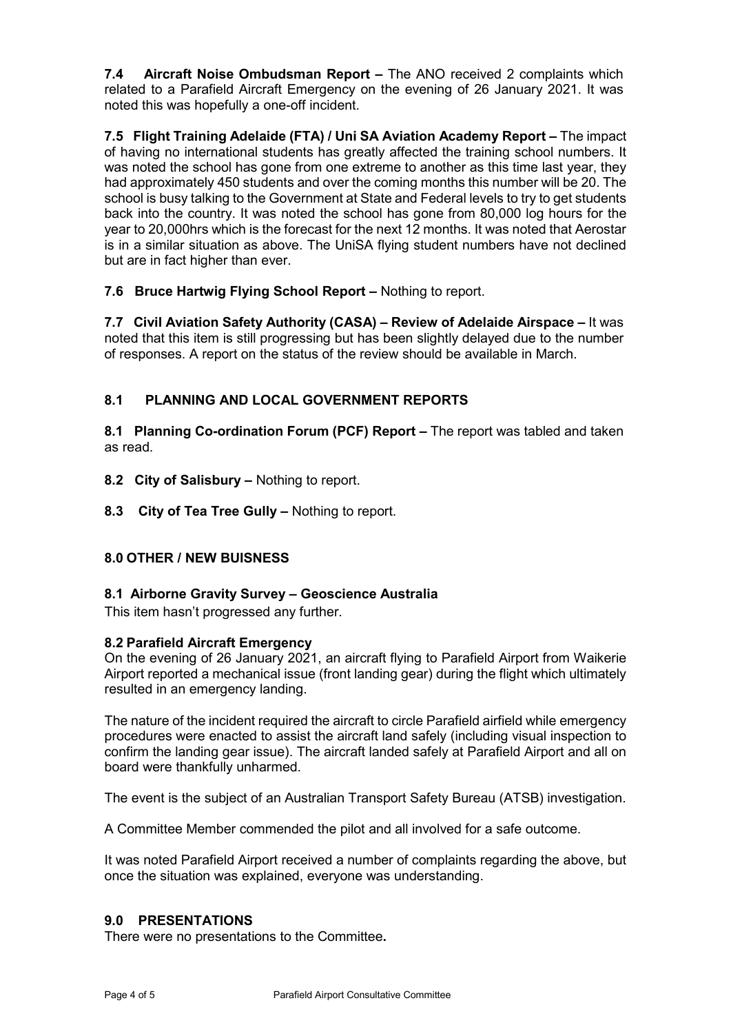**7.4 Aircraft Noise Ombudsman Report –** The ANO received 2 complaints which related to a Parafield Aircraft Emergency on the evening of 26 January 2021. It was noted this was hopefully a one-off incident.

**7.5 Flight Training Adelaide (FTA) / Uni SA Aviation Academy Report –** The impact of having no international students has greatly affected the training school numbers. It was noted the school has gone from one extreme to another as this time last year, they had approximately 450 students and over the coming months this number will be 20. The school is busy talking to the Government at State and Federal levels to try to get students back into the country. It was noted the school has gone from 80,000 log hours for the year to 20,000hrs which is the forecast for the next 12 months. It was noted that Aerostar is in a similar situation as above. The UniSA flying student numbers have not declined but are in fact higher than ever.

**7.6 Bruce Hartwig Flying School Report –** Nothing to report.

**7.7 Civil Aviation Safety Authority (CASA) – Review of Adelaide Airspace –** It was noted that this item is still progressing but has been slightly delayed due to the number of responses. A report on the status of the review should be available in March.

# **8.1 PLANNING AND LOCAL GOVERNMENT REPORTS**

**8.1 Planning Co-ordination Forum (PCF) Report –** The report was tabled and taken as read.

- **8.2 City of Salisbury –** Nothing to report.
- **8.3 City of Tea Tree Gully –** Nothing to report.

## **8.0 OTHER / NEW BUISNESS**

#### **8.1 Airborne Gravity Survey – Geoscience Australia**

This item hasn't progressed any further.

#### **8.2 Parafield Aircraft Emergency**

On the evening of 26 January 2021, an aircraft flying to Parafield Airport from Waikerie Airport reported a mechanical issue (front landing gear) during the flight which ultimately resulted in an emergency landing.

The nature of the incident required the aircraft to circle Parafield airfield while emergency procedures were enacted to assist the aircraft land safely (including visual inspection to confirm the landing gear issue). The aircraft landed safely at Parafield Airport and all on board were thankfully unharmed.

The event is the subject of an Australian Transport Safety Bureau (ATSB) investigation.

A Committee Member commended the pilot and all involved for a safe outcome.

It was noted Parafield Airport received a number of complaints regarding the above, but once the situation was explained, everyone was understanding.

#### **9.0 PRESENTATIONS**

There were no presentations to the Committee**.**